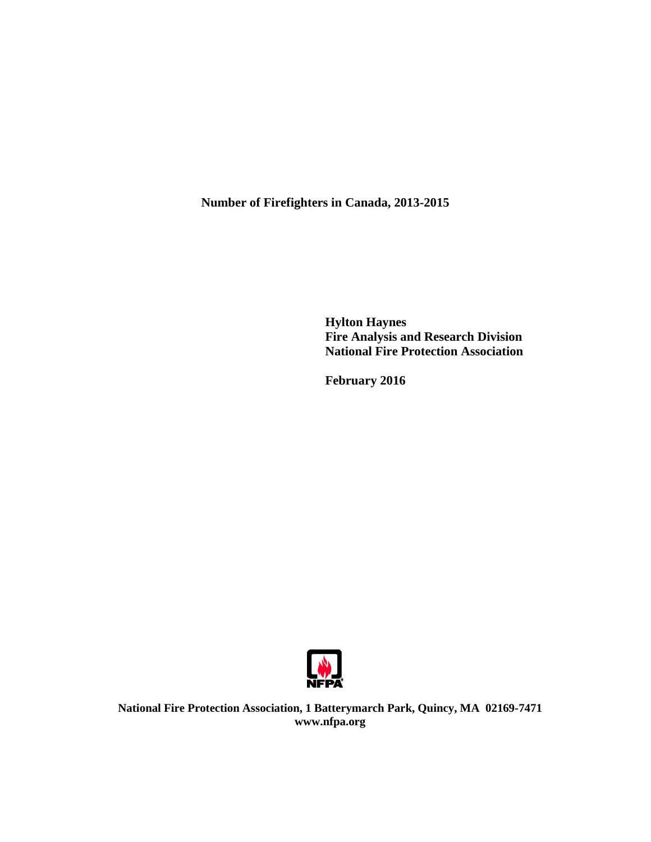**Number of Firefighters in Canada, 2013-2015**

**Hylton Haynes Fire Analysis and Research Division National Fire Protection Association**

**February 2016**



**National Fire Protection Association, 1 Batterymarch Park, Quincy, MA 02169-7471 www.nfpa.org**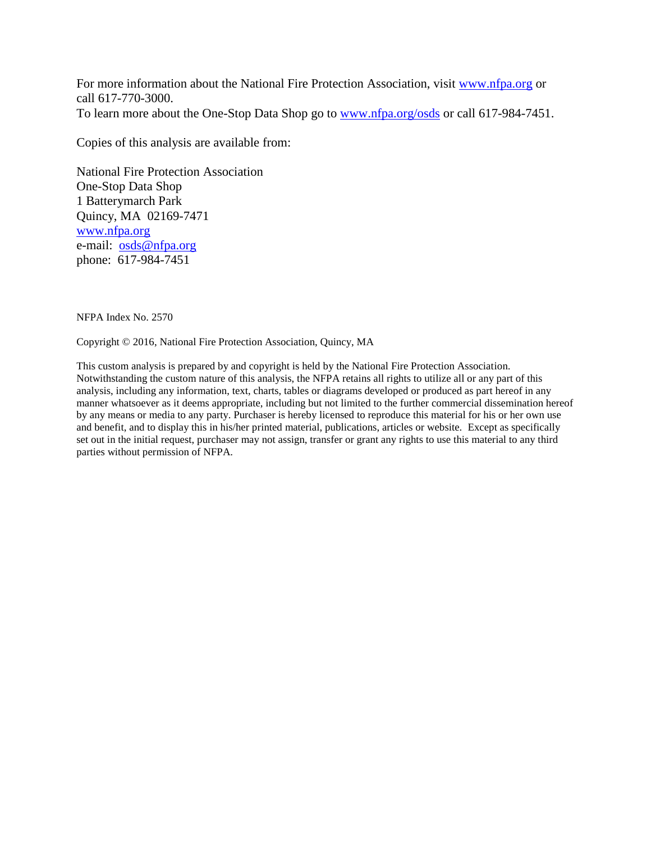For more information about the National Fire Protection Association, visit [www.nfpa.org](http://www.nfpa.org/) or call 617-770-3000. To learn more about the One-Stop Data Shop go to [www.nfpa.org/osds](http://www.nfpa.org/osds) or call 617-984-7451.

Copies of this analysis are available from:

National Fire Protection Association One-Stop Data Shop 1 Batterymarch Park Quincy, MA 02169-7471 [www.nfpa.org](http://www.nfpa.org/) e-mail: [osds@nfpa.org](mailto:osds@nfpa.org) phone: 617-984-7451

NFPA Index No. 2570

Copyright © 2016, National Fire Protection Association, Quincy, MA

This custom analysis is prepared by and copyright is held by the National Fire Protection Association. Notwithstanding the custom nature of this analysis, the NFPA retains all rights to utilize all or any part of this analysis, including any information, text, charts, tables or diagrams developed or produced as part hereof in any manner whatsoever as it deems appropriate, including but not limited to the further commercial dissemination hereof by any means or media to any party. Purchaser is hereby licensed to reproduce this material for his or her own use and benefit, and to display this in his/her printed material, publications, articles or website. Except as specifically set out in the initial request, purchaser may not assign, transfer or grant any rights to use this material to any third parties without permission of NFPA.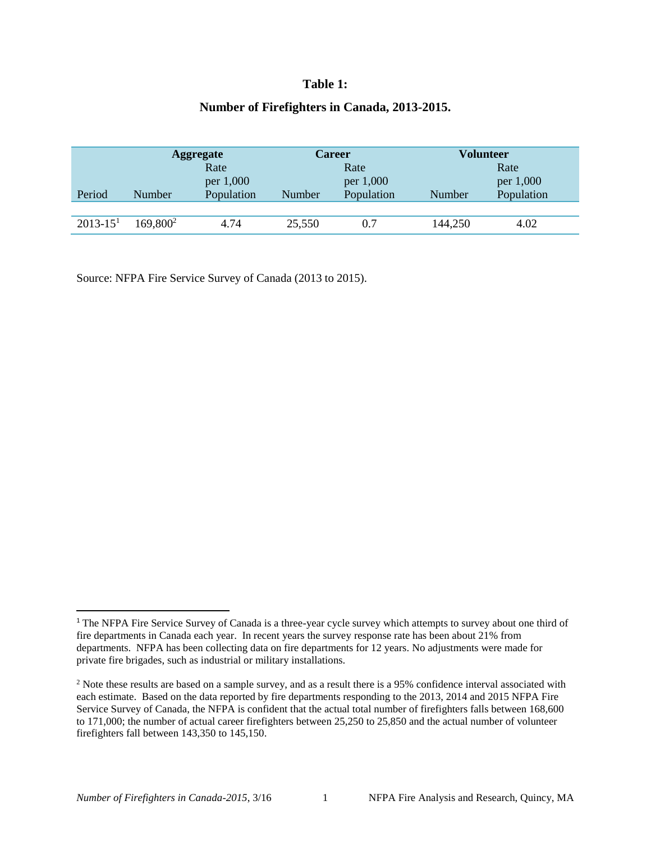## **Table 1:**

## **Number of Firefighters in Canada, 2013-2015.**

|              | <b>Aggregate</b>     |            | <b>Career</b> |            | Volunteer |            |  |
|--------------|----------------------|------------|---------------|------------|-----------|------------|--|
|              |                      | Rate       |               | Rate       |           | Rate       |  |
|              |                      | per 1,000  |               | per 1,000  |           | per 1,000  |  |
| Period       | Number               | Population | Number        | Population | Number    | Population |  |
|              |                      |            |               |            |           |            |  |
| $2013 - 151$ | 169,800 <sup>2</sup> | 4.74       | 25,550        | 0.7        | 144,250   | 4.02       |  |

Source: NFPA Fire Service Survey of Canada (2013 to 2015).

 $\overline{a}$ 

<sup>&</sup>lt;sup>1</sup> The NFPA Fire Service Survey of Canada is a three-year cycle survey which attempts to survey about one third of fire departments in Canada each year. In recent years the survey response rate has been about 21% from departments. NFPA has been collecting data on fire departments for 12 years. No adjustments were made for private fire brigades, such as industrial or military installations.

<sup>&</sup>lt;sup>2</sup> Note these results are based on a sample survey, and as a result there is a 95% confidence interval associated with each estimate. Based on the data reported by fire departments responding to the 2013, 2014 and 2015 NFPA Fire Service Survey of Canada, the NFPA is confident that the actual total number of firefighters falls between 168,600 to 171,000; the number of actual career firefighters between 25,250 to 25,850 and the actual number of volunteer firefighters fall between 143,350 to 145,150.